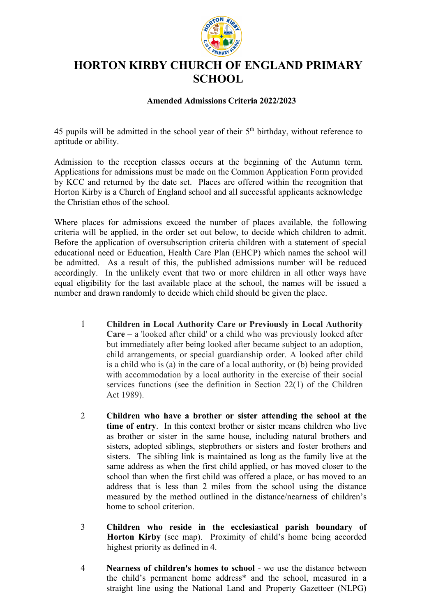

## **HORTON KIRBY CHURCH OF ENGLAND PRIMARY SCHOOL**

## **Amended Admissions Criteria 2022/2023**

45 pupils will be admitted in the school year of their  $5<sup>th</sup>$  birthday, without reference to aptitude or ability.

Admission to the reception classes occurs at the beginning of the Autumn term. Applications for admissions must be made on the Common Application Form provided by KCC and returned by the date set. Places are offered within the recognition that Horton Kirby is a Church of England school and all successful applicants acknowledge the Christian ethos of the school.

Where places for admissions exceed the number of places available, the following criteria will be applied, in the order set out below, to decide which children to admit. Before the application of oversubscription criteria children with a statement of special educational need or Education, Health Care Plan (EHCP) which names the school will be admitted. As a result of this, the published admissions number will be reduced accordingly. In the unlikely event that two or more children in all other ways have equal eligibility for the last available place at the school, the names will be issued a number and drawn randomly to decide which child should be given the place.

- 1 **Children in Local Authority Care or Previously in Local Authority Care** – a 'looked after child' or a child who was previously looked after but immediately after being looked after became subject to an adoption, child arrangements, or special guardianship order. A looked after child is a child who is (a) in the care of a local authority, or (b) being provided with accommodation by a local authority in the exercise of their social services functions (see the definition in Section 22(1) of the Children Act 1989).
- 2 **Children who have a brother or sister attending the school at the time of entry**. In this context brother or sister means children who live as brother or sister in the same house, including natural brothers and sisters, adopted siblings, stepbrothers or sisters and foster brothers and sisters. The sibling link is maintained as long as the family live at the same address as when the first child applied, or has moved closer to the school than when the first child was offered a place, or has moved to an address that is less than 2 miles from the school using the distance measured by the method outlined in the distance/nearness of children's home to school criterion.
- 3 **Children who reside in the ecclesiastical parish boundary of Horton Kirby** (see map). Proximity of child's home being accorded highest priority as defined in 4.
- 4 **Nearness of children's homes to school** we use the distance between the child's permanent home address\* and the school, measured in a straight line using the National Land and Property Gazetteer (NLPG)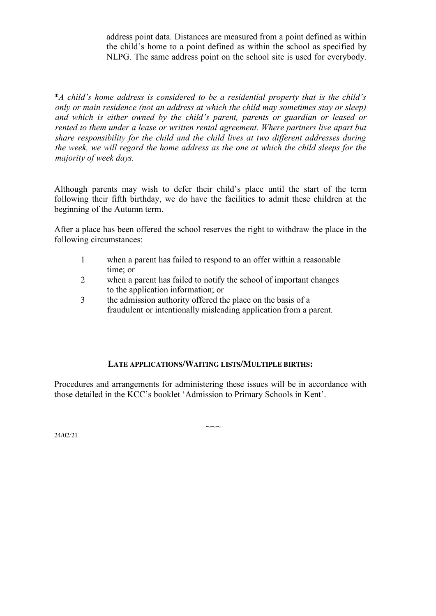address point data. Distances are measured from a point defined as within the child's home to a point defined as within the school as specified by NLPG. The same address point on the school site is used for everybody.

\**A child's home address is considered to be a residential property that is the child's only or main residence (not an address at which the child may sometimes stay or sleep) and which is either owned by the child's parent, parents or guardian or leased or rented to them under a lease or written rental agreement. Where partners live apart but share responsibility for the child and the child lives at two different addresses during the week, we will regard the home address as the one at which the child sleeps for the majority of week days.*

Although parents may wish to defer their child's place until the start of the term following their fifth birthday, we do have the facilities to admit these children at the beginning of the Autumn term.

After a place has been offered the school reserves the right to withdraw the place in the following circumstances:

- 1 when a parent has failed to respond to an offer within a reasonable time; or
- 2 when a parent has failed to notify the school of important changes to the application information; or
- 3 the admission authority offered the place on the basis of a fraudulent or intentionally misleading application from a parent.

## **LATE APPLICATIONS/WAITING LISTS/MULTIPLE BIRTHS:**

Procedures and arrangements for administering these issues will be in accordance with those detailed in the KCC's booklet 'Admission to Primary Schools in Kent'.

 $\sim$ 

24/02/21